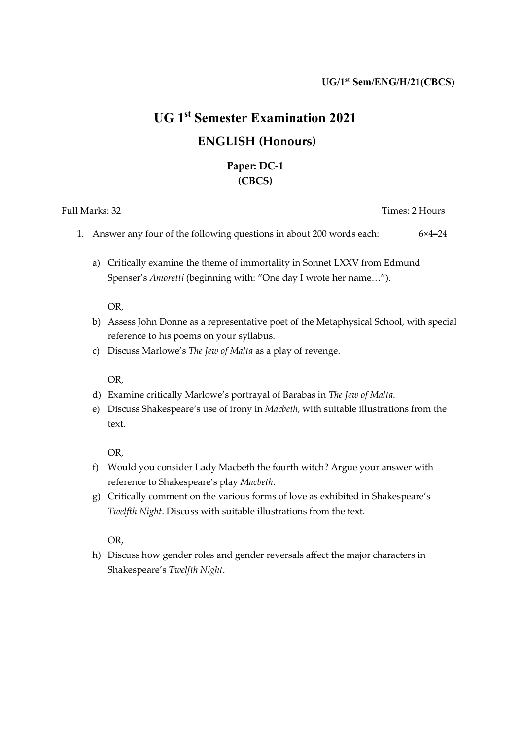# UG<sup>1st</sup> Semester Examination 2021 ENGLISH (Honour**s)**

# Paper: DC-1 (CBCS)

Full Marks: 32 Times: 2 Hours

- 1. Answer any four of the following questions in about 200 words each: 6×4=24
	- a) Critically examine the theme of immortality in Sonnet LXXV from Edmund Spenser's Amoretti (beginning with: "One day I wrote her name…").

## OR,

- b) Assess John Donne as a representative poet of the Metaphysical School, with special reference to his poems on your syllabus.
- c) Discuss Marlowe's The Jew of Malta as a play of revenge.

## OR,

- d) Examine critically Marlowe's portrayal of Barabas in The Jew of Malta.
- e) Discuss Shakespeare's use of irony in Macbeth, with suitable illustrations from the text.

OR,

- f) Would you consider Lady Macbeth the fourth witch? Argue your answer with reference to Shakespeare's play Macbeth.
- g) Critically comment on the various forms of love as exhibited in Shakespeare's Twelfth Night. Discuss with suitable illustrations from the text.

OR,

h) Discuss how gender roles and gender reversals affect the major characters in Shakespeare's Twelfth Night.